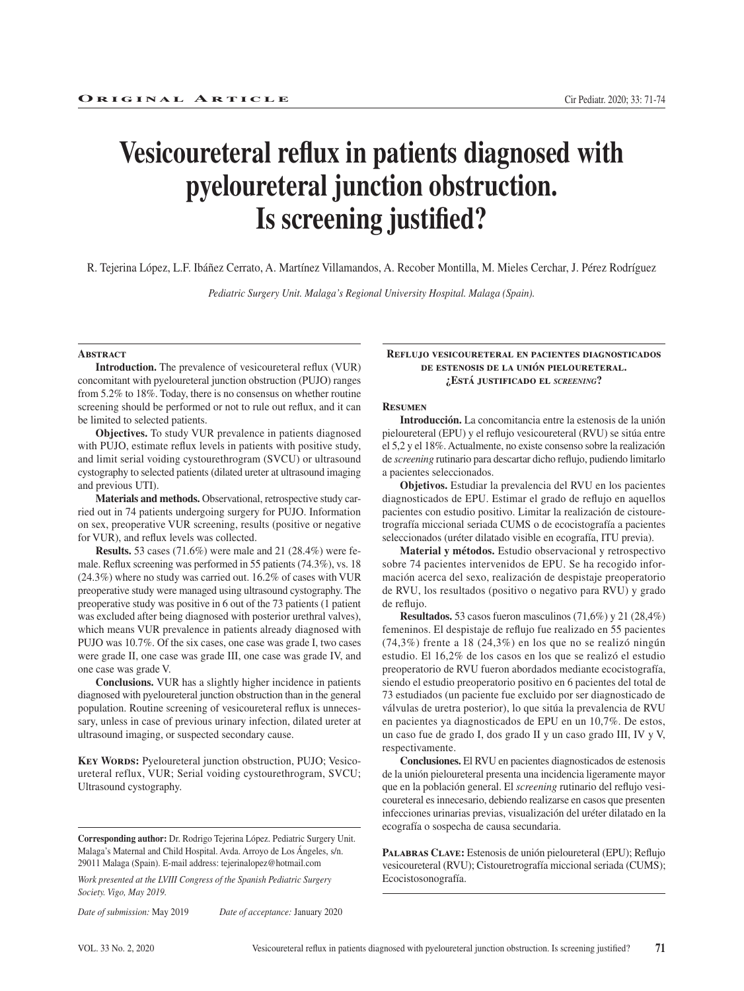# **Vesicoureteral reflux in patients diagnosed with pyeloureteral junction obstruction. Is screening justified?**

R. Tejerina López, L.F. Ibáñez Cerrato, A. Martínez Villamandos, A. Recober Montilla, M. Mieles Cerchar, J. Pérez Rodríguez

*Pediatric Surgery Unit. Malaga's Regional University Hospital. Malaga (Spain).*

#### **ABSTRACT**

**Introduction.** The prevalence of vesicoureteral reflux (VUR) concomitant with pyeloureteral junction obstruction (PUJO) ranges from 5.2% to 18%. Today, there is no consensus on whether routine screening should be performed or not to rule out reflux, and it can be limited to selected patients.

**Objectives.** To study VUR prevalence in patients diagnosed with PUJO, estimate reflux levels in patients with positive study, and limit serial voiding cystourethrogram (SVCU) or ultrasound cystography to selected patients (dilated ureter at ultrasound imaging and previous UTI).

**Materials and methods.** Observational, retrospective study carried out in 74 patients undergoing surgery for PUJO. Information on sex, preoperative VUR screening, results (positive or negative for VUR), and reflux levels was collected.

**Results.** 53 cases (71.6%) were male and 21 (28.4%) were female. Reflux screening was performed in 55 patients (74.3%), vs. 18 (24.3%) where no study was carried out. 16.2% of cases with VUR preoperative study were managed using ultrasound cystography. The preoperative study was positive in 6 out of the 73 patients (1 patient was excluded after being diagnosed with posterior urethral valves), which means VUR prevalence in patients already diagnosed with PUJO was 10.7%. Of the six cases, one case was grade I, two cases were grade II, one case was grade III, one case was grade IV, and one case was grade V.

**Conclusions.** VUR has a slightly higher incidence in patients diagnosed with pyeloureteral junction obstruction than in the general population. Routine screening of vesicoureteral reflux is unnecessary, unless in case of previous urinary infection, dilated ureter at ultrasound imaging, or suspected secondary cause.

KEY WORDS: Pyeloureteral junction obstruction, PUJO; Vesicoureteral reflux, VUR; Serial voiding cystourethrogram, SVCU; Ultrasound cystography.

*Work presented at the LVIII Congress of the Spanish Pediatric Surgery Society. Vigo, May 2019.*

*Date of submission:* May 2019 *Date of acceptance:* January 2020

#### **Reflujo vesicoureteral en pacientes diagnosticados de estenosis de la unión pieloureteral. ¿Está justificado el** *screening***?**

#### **Resumen**

**Introducción.** La concomitancia entre la estenosis de la unión pieloureteral (EPU) y el reflujo vesicoureteral (RVU) se sitúa entre el 5,2 y el 18%. Actualmente, no existe consenso sobre la realización de *screening* rutinario para descartar dicho reflujo, pudiendo limitarlo a pacientes seleccionados.

**Objetivos.** Estudiar la prevalencia del RVU en los pacientes diagnosticados de EPU. Estimar el grado de reflujo en aquellos pacientes con estudio positivo. Limitar la realización de cistouretrografía miccional seriada CUMS o de ecocistografía a pacientes seleccionados (uréter dilatado visible en ecografía, ITU previa).

**Material y métodos.** Estudio observacional y retrospectivo sobre 74 pacientes intervenidos de EPU. Se ha recogido información acerca del sexo, realización de despistaje preoperatorio de RVU, los resultados (positivo o negativo para RVU) y grado de reflujo.

**Resultados.** 53 casos fueron masculinos (71,6%) y 21 (28,4%) femeninos. El despistaje de reflujo fue realizado en 55 pacientes (74,3%) frente a 18 (24,3%) en los que no se realizó ningún estudio. El 16,2% de los casos en los que se realizó el estudio preoperatorio de RVU fueron abordados mediante ecocistografía, siendo el estudio preoperatorio positivo en 6 pacientes del total de 73 estudiados (un paciente fue excluido por ser diagnosticado de válvulas de uretra posterior), lo que sitúa la prevalencia de RVU en pacientes ya diagnosticados de EPU en un 10,7%. De estos, un caso fue de grado I, dos grado II y un caso grado III, IV y V, respectivamente.

**Conclusiones.** El RVU en pacientes diagnosticados de estenosis de la unión pieloureteral presenta una incidencia ligeramente mayor que en la población general. El *screening* rutinario del reflujo vesicoureteral es innecesario, debiendo realizarse en casos que presenten infecciones urinarias previas, visualización del uréter dilatado en la ecografía o sospecha de causa secundaria.

**Palabras Clave:** Estenosis de unión pieloureteral (EPU); Reflujo vesicoureteral (RVU); Cistouretrografía miccional seriada (CUMS); Ecocistosonografía.

**Corresponding author:** Dr. Rodrigo Tejerina López. Pediatric Surgery Unit. Malaga's Maternal and Child Hospital. Avda. Arroyo de Los Ángeles, s/n. 29011 Malaga (Spain). E-mail address: tejerinalopez@hotmail.com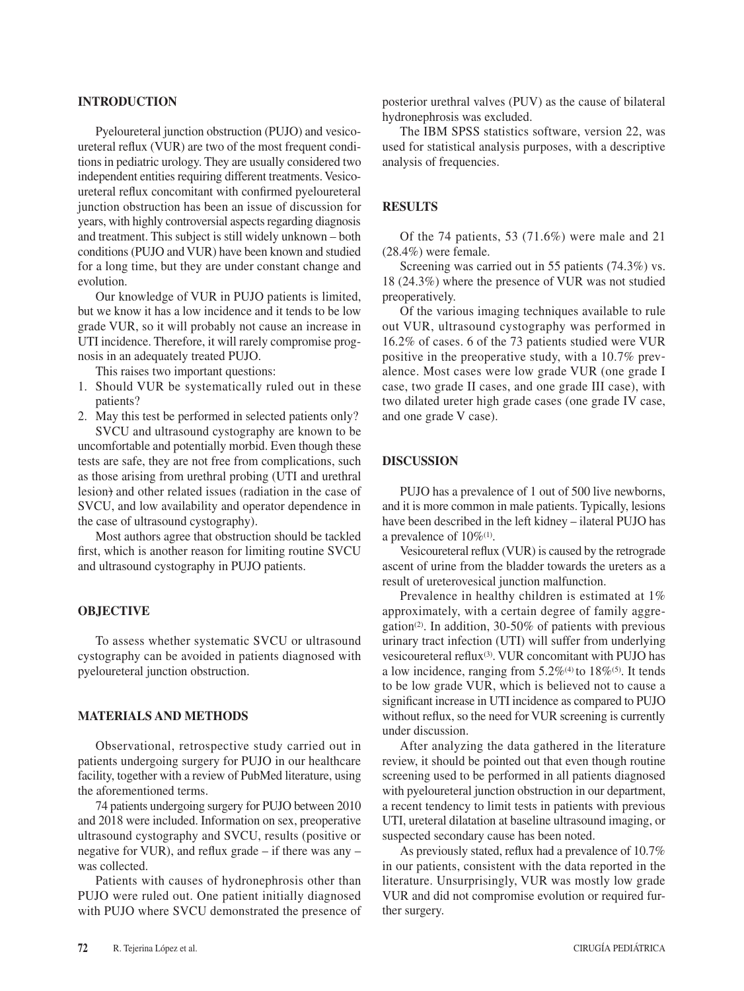#### **INTRODUCTION**

Pyeloureteral junction obstruction (PUJO) and vesicoureteral reflux (VUR) are two of the most frequent conditions in pediatric urology. They are usually considered two independent entities requiring different treatments. Vesicoureteral reflux concomitant with confirmed pyeloureteral junction obstruction has been an issue of discussion for years, with highly controversial aspects regarding diagnosis and treatment. This subject is still widely unknown – both conditions (PUJO and VUR) have been known and studied for a long time, but they are under constant change and evolution.

Our knowledge of VUR in PUJO patients is limited, but we know it has a low incidence and it tends to be low grade VUR, so it will probably not cause an increase in UTI incidence. Therefore, it will rarely compromise prognosis in an adequately treated PUJO.

This raises two important questions:

- 1. Should VUR be systematically ruled out in these patients?
- 2. May this test be performed in selected patients only? SVCU and ultrasound cystography are known to be

uncomfortable and potentially morbid. Even though these tests are safe, they are not free from complications, such as those arising from urethral probing (UTI and urethral lesion) and other related issues (radiation in the case of SVCU, and low availability and operator dependence in the case of ultrasound cystography).

Most authors agree that obstruction should be tackled first, which is another reason for limiting routine SVCU and ultrasound cystography in PUJO patients.

#### **OBJECTIVE**

To assess whether systematic SVCU or ultrasound cystography can be avoided in patients diagnosed with pyeloureteral junction obstruction.

## **MATERIALS AND METHODS**

Observational, retrospective study carried out in patients undergoing surgery for PUJO in our healthcare facility, together with a review of PubMed literature, using the aforementioned terms.

74 patients undergoing surgery for PUJO between 2010 and 2018 were included. Information on sex, preoperative ultrasound cystography and SVCU, results (positive or negative for VUR), and reflux grade – if there was any – was collected.

Patients with causes of hydronephrosis other than PUJO were ruled out. One patient initially diagnosed with PUJO where SVCU demonstrated the presence of

posterior urethral valves (PUV) as the cause of bilateral hydronephrosis was excluded.

The IBM SPSS statistics software, version 22, was used for statistical analysis purposes, with a descriptive analysis of frequencies.

## **RESULTS**

Of the 74 patients, 53 (71.6%) were male and 21 (28.4%) were female.

Screening was carried out in 55 patients (74.3%) vs. 18 (24.3%) where the presence of VUR was not studied preoperatively.

Of the various imaging techniques available to rule out VUR, ultrasound cystography was performed in 16.2% of cases. 6 of the 73 patients studied were VUR positive in the preoperative study, with a 10.7% prevalence. Most cases were low grade VUR (one grade I case, two grade II cases, and one grade III case), with two dilated ureter high grade cases (one grade IV case, and one grade V case).

#### **DISCUSSION**

PUJO has a prevalence of 1 out of 500 live newborns, and it is more common in male patients. Typically, lesions have been described in the left kidney – ilateral PUJO has a prevalence of  $10\%$ <sup>(1)</sup>.

Vesicoureteral reflux (VUR) is caused by the retrograde ascent of urine from the bladder towards the ureters as a result of ureterovesical junction malfunction.

Prevalence in healthy children is estimated at 1% approximately, with a certain degree of family aggregation<sup>(2)</sup>. In addition, 30-50% of patients with previous urinary tract infection (UTI) will suffer from underlying vesicoureteral reflux<sup>(3)</sup>. VUR concomitant with PUJO has a low incidence, ranging from  $5.2\%$ <sup>(4)</sup> to  $18\%$ <sup>(5)</sup>. It tends to be low grade VUR, which is believed not to cause a significant increase in UTI incidence as compared to PUJO without reflux, so the need for VUR screening is currently under discussion.

After analyzing the data gathered in the literature review, it should be pointed out that even though routine screening used to be performed in all patients diagnosed with pyeloureteral junction obstruction in our department, a recent tendency to limit tests in patients with previous UTI, ureteral dilatation at baseline ultrasound imaging, or suspected secondary cause has been noted.

As previously stated, reflux had a prevalence of 10.7% in our patients, consistent with the data reported in the literature. Unsurprisingly, VUR was mostly low grade VUR and did not compromise evolution or required further surgery.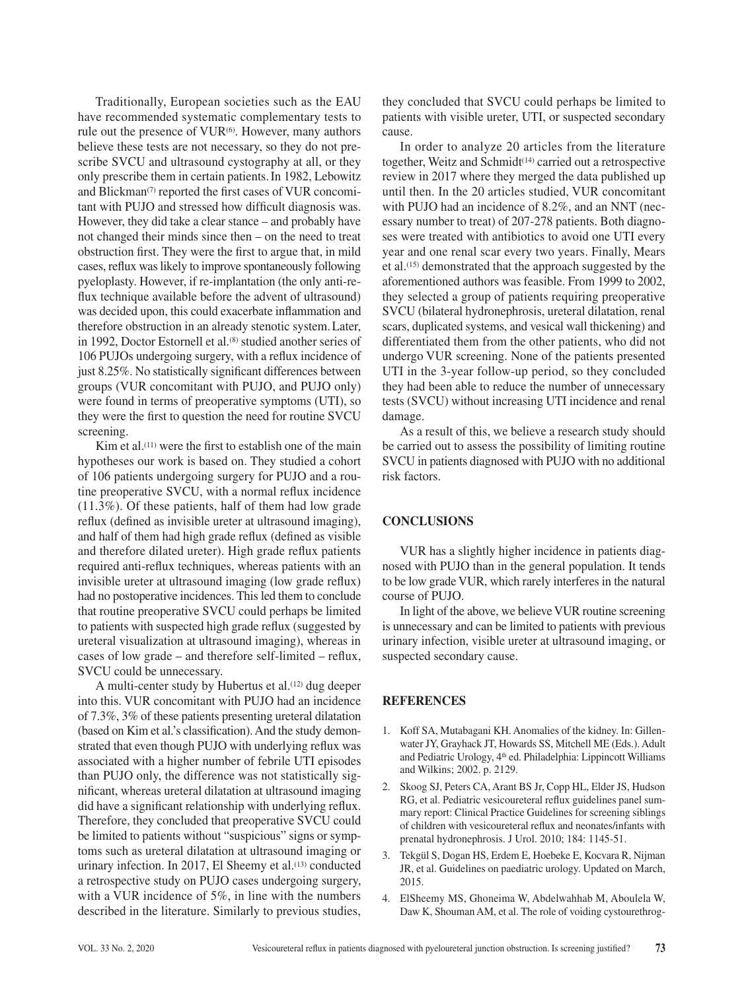Traditionally, European societies such as the EAU have recommended systematic complementary tests to rule out the presence of  $VUR^{(6)}$ . However, many authors believe these tests are not necessary, so they do not prescribe SVCU and ultrasound cystography at all, or they only prescribe them in certain patients.In 1982, Lebowitz and Blickman<sup>(7)</sup> reported the first cases of VUR concomitant with PUJO and stressed how difficult diagnosis was. However, they did take a clear stance – and probably have not changed their minds since then – on the need to treat obstruction first. They were the first to argue that, in mild cases, reflux was likely to improve spontaneously following pyeloplasty. However, if re-implantation (the only anti-reflux technique available before the advent of ultrasound) was decided upon, this could exacerbate inflammation and therefore obstruction in an already stenotic system.Later, in 1992, Doctor Estornell et al.<sup>(8)</sup> studied another series of 106 PUJOs undergoing surgery, with a reflux incidence of just 8.25%. No statistically significant differences between groups (VUR concomitant with PUJO, and PUJO only) were found in terms of preoperative symptoms (UTI), so they were the first to question the need for routine SVCU screening.

Kim et al.<sup> $(11)$ </sup> were the first to establish one of the main hypotheses our work is based on. They studied a cohort of 106 patients undergoing surgery for PUJO and a routine preoperative SVCU, with a normal reflux incidence (11.3%). Of these patients, half of them had low grade reflux (defined as invisible ureter at ultrasound imaging), and half of them had high grade reflux (defined as visible and therefore dilated ureter). High grade reflux patients required anti-reflux techniques, whereas patients with an invisible ureter at ultrasound imaging (low grade reflux) had no postoperative incidences. This led them to conclude that routine preoperative SVCU could perhaps be limited to patients with suspected high grade reflux (suggested by ureteral visualization at ultrasound imaging), whereas in cases of low grade – and therefore self-limited – reflux, SVCU could be unnecessary.

A multi-center study by Hubertus et al.<sup>(12)</sup> dug deeper into this. VUR concomitant with PUJO had an incidence of 7.3%, 3% of these patients presenting ureteral dilatation (based on Kim et al.'s classification). And the study demonstrated that even though PUJO with underlying reflux was associated with a higher number of febrile UTI episodes than PUJO only, the difference was not statistically significant, whereas ureteral dilatation at ultrasound imaging did have a significant relationship with underlying reflux. Therefore, they concluded that preoperative SVCU could be limited to patients without "suspicious" signs or symptoms such as ureteral dilatation at ultrasound imaging or urinary infection. In 2017, El Sheemy et al.<sup>(13)</sup> conducted a retrospective study on PUJO cases undergoing surgery, with a VUR incidence of 5%, in line with the numbers described in the literature. Similarly to previous studies,

they concluded that SVCU could perhaps be limited to patients with visible ureter, UTI, or suspected secondary cause.

In order to analyze 20 articles from the literature together, Weitz and Schmidt(14) carried out a retrospective review in 2017 where they merged the data published up until then. In the 20 articles studied, VUR concomitant with PUJO had an incidence of 8.2%, and an NNT (necessary number to treat) of 207-278 patients. Both diagnoses were treated with antibiotics to avoid one UTI every year and one renal scar every two years. Finally, Mears et al.(15) demonstrated that the approach suggested by the aforementioned authors was feasible. From 1999 to 2002, they selected a group of patients requiring preoperative SVCU (bilateral hydronephrosis, ureteral dilatation, renal scars, duplicated systems, and vesical wall thickening) and differentiated them from the other patients, who did not undergo VUR screening. None of the patients presented UTI in the 3-year follow-up period, so they concluded they had been able to reduce the number of unnecessary tests (SVCU) without increasing UTI incidence and renal damage.

As a result of this, we believe a research study should be carried out to assess the possibility of limiting routine SVCU in patients diagnosed with PUJO with no additional risk factors.

# **CONCLUSIONS**

VUR has a slightly higher incidence in patients diagnosed with PUJO than in the general population. It tends to be low grade VUR, which rarely interferes in the natural course of PUJO.

In light of the above, we believe VUR routine screening is unnecessary and can be limited to patients with previous urinary infection, visible ureter at ultrasound imaging, or suspected secondary cause.

## **REFERENCES**

- 1. Koff SA, Mutabagani KH. Anomalies of the kidney. In: Gillenwater JY, Grayhack JT, Howards SS, Mitchell ME (Eds.). Adult and Pediatric Urology, 4<sup>th</sup> ed. Philadelphia: Lippincott Williams and Wilkins; 2002. p. 2129.
- 2. Skoog SJ, Peters CA, Arant BS Jr, Copp HL, Elder JS, Hudson RG, et al. Pediatric vesicoureteral reflux guidelines panel summary report: Clinical Practice Guidelines for screening siblings of children with vesicoureteral reflux and neonates/infants with prenatal hydronephrosis. J Urol. 2010; 184: 1145-51.
- 3. Tekgül S, Dogan HS, Erdem E, Hoebeke E, Kocvara R, Nijman JR, et al. Guidelines on paediatric urology. Updated on March, 2015.
- 4. ElSheemy MS, Ghoneima W, Abdelwahhab M, Aboulela W, Daw K, Shouman AM, et al. The role of voiding cystourethrog-